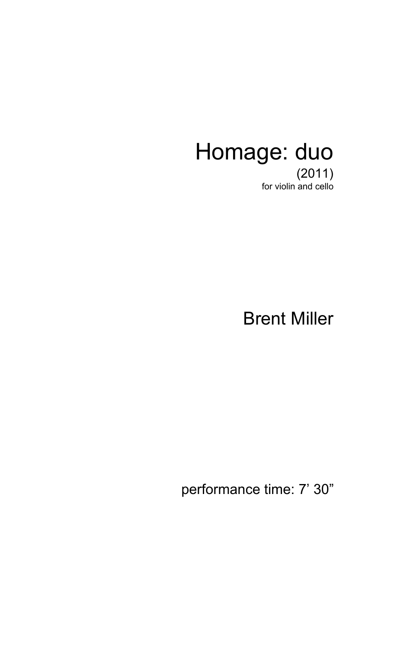## Homage: duo

(2011) for violin and cello

Brent Miller

performance time: 7' 30"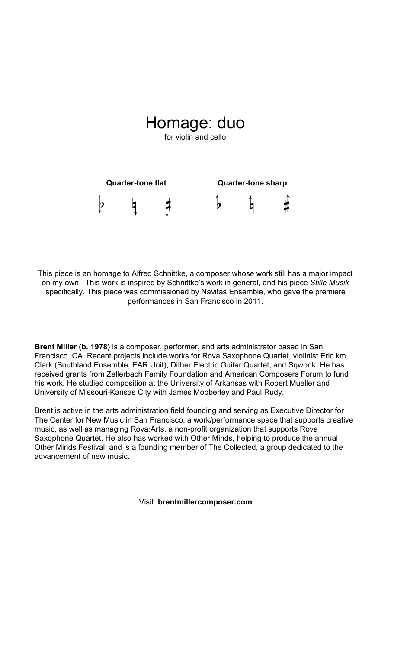## Homage: duo

for violin and cello



This piece is an homage to Alfred Schnittke, a composer whose work still has a major impact on my own. This work is inspired by Schnittke's work in general, and his piece *Stille Musik* specifically. This piece was commissioned by Navitas Ensemble, who gave the premiere performances in San Francisco in 2011.

**Brent Miller (b. 1978)** is a composer, performer, and arts administrator based in San Francisco, CA. Recent projects include works for Rova Saxophone Quartet, violinist Eric km Clark (Southland Ensemble, EAR Unit), Dither Electric Guitar Quartet, and Sqwonk. He has received grants from Zellerbach Family Foundation and American Composers Forum to fund his work. He studied composition at the University of Arkansas with Robert Mueller and University of Missouri-Kansas City with James Mobberley and Paul Rudy.

Brent is active in the arts administration field founding and serving as Executive Director for The Center for New Music in San Francisco, a work/performance space that supports creative music, as well as managing Rova:Arts, a non-profit organization that supports Rova Saxophone Quartet. He also has worked with Other Minds, helping to produce the annual Other Minds Festival, and is a founding member of The Collected, a group dedicated to the advancement of new music.

Visit **brentmillercomposer.com**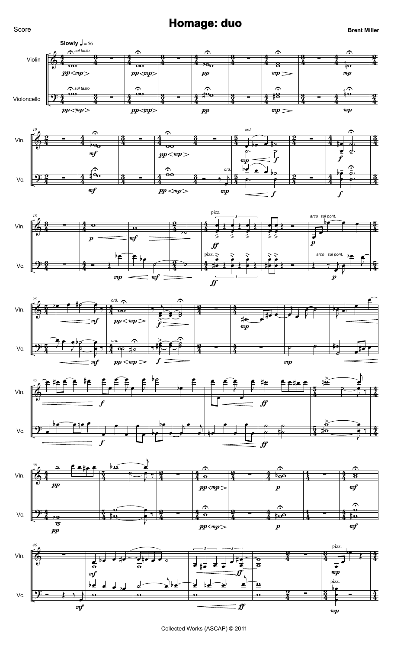**Homage: duo Brent Miller Brent Miller** 











Collected Works (ASCAP) © 2011